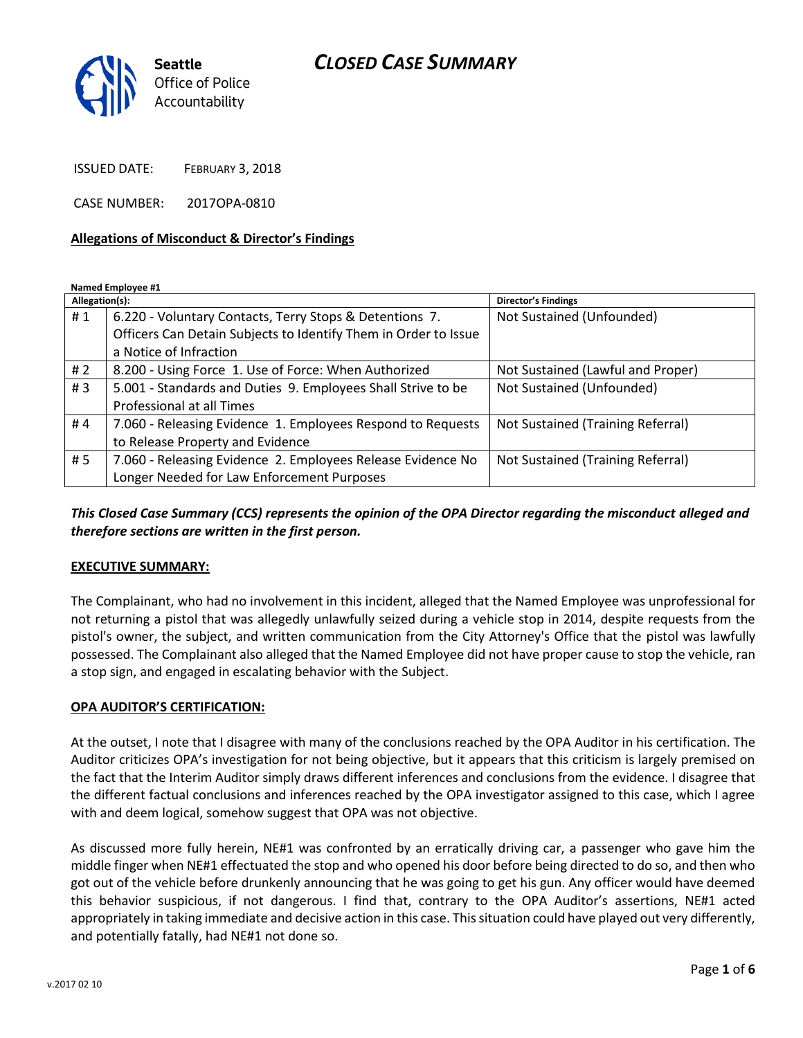

ISSUED DATE: FEBRUARY 3, 2018

CASE NUMBER: 2017OPA-0810

#### **Allegations of Misconduct & Director's Findings**

**Named Employee #1**

| Allegation(s): |                                                                 | <b>Director's Findings</b>        |
|----------------|-----------------------------------------------------------------|-----------------------------------|
| #1             | 6.220 - Voluntary Contacts, Terry Stops & Detentions 7.         | Not Sustained (Unfounded)         |
|                | Officers Can Detain Subjects to Identify Them in Order to Issue |                                   |
|                | a Notice of Infraction                                          |                                   |
| # $2$          | 8.200 - Using Force 1. Use of Force: When Authorized            | Not Sustained (Lawful and Proper) |
| #3             | 5.001 - Standards and Duties 9. Employees Shall Strive to be    | Not Sustained (Unfounded)         |
|                | Professional at all Times                                       |                                   |
| #4             | 7.060 - Releasing Evidence 1. Employees Respond to Requests     | Not Sustained (Training Referral) |
|                | to Release Property and Evidence                                |                                   |
| #5             | 7.060 - Releasing Evidence 2. Employees Release Evidence No     | Not Sustained (Training Referral) |
|                | Longer Needed for Law Enforcement Purposes                      |                                   |

## *This Closed Case Summary (CCS) represents the opinion of the OPA Director regarding the misconduct alleged and therefore sections are written in the first person.*

#### **EXECUTIVE SUMMARY:**

The Complainant, who had no involvement in this incident, alleged that the Named Employee was unprofessional for not returning a pistol that was allegedly unlawfully seized during a vehicle stop in 2014, despite requests from the pistol's owner, the subject, and written communication from the City Attorney's Office that the pistol was lawfully possessed. The Complainant also alleged that the Named Employee did not have proper cause to stop the vehicle, ran a stop sign, and engaged in escalating behavior with the Subject.

### **OPA AUDITOR'S CERTIFICATION:**

At the outset, I note that I disagree with many of the conclusions reached by the OPA Auditor in his certification. The Auditor criticizes OPA's investigation for not being objective, but it appears that this criticism is largely premised on the fact that the Interim Auditor simply draws different inferences and conclusions from the evidence. I disagree that the different factual conclusions and inferences reached by the OPA investigator assigned to this case, which I agree with and deem logical, somehow suggest that OPA was not objective.

As discussed more fully herein, NE#1 was confronted by an erratically driving car, a passenger who gave him the middle finger when NE#1 effectuated the stop and who opened his door before being directed to do so, and then who got out of the vehicle before drunkenly announcing that he was going to get his gun. Any officer would have deemed this behavior suspicious, if not dangerous. I find that, contrary to the OPA Auditor's assertions, NE#1 acted appropriately in taking immediate and decisive action in this case. This situation could have played out very differently, and potentially fatally, had NE#1 not done so.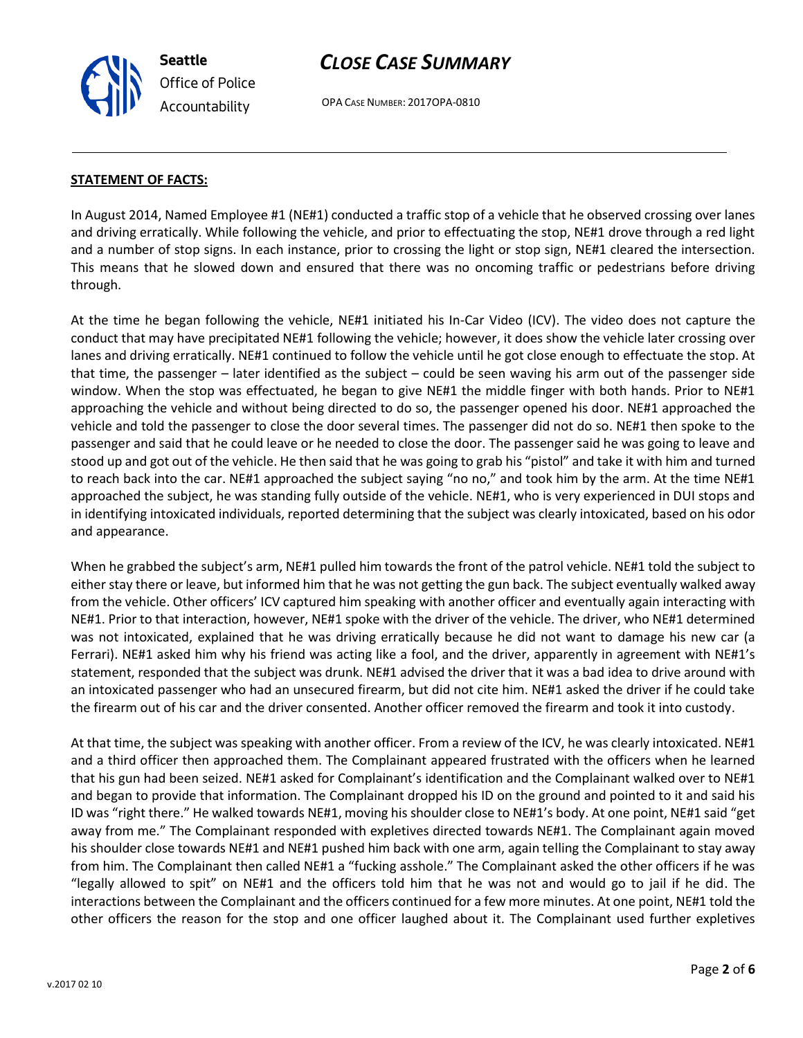OPA CASE NUMBER: 2017OPA-0810

#### **STATEMENT OF FACTS:**

In August 2014, Named Employee #1 (NE#1) conducted a traffic stop of a vehicle that he observed crossing over lanes and driving erratically. While following the vehicle, and prior to effectuating the stop, NE#1 drove through a red light and a number of stop signs. In each instance, prior to crossing the light or stop sign, NE#1 cleared the intersection. This means that he slowed down and ensured that there was no oncoming traffic or pedestrians before driving through.

At the time he began following the vehicle, NE#1 initiated his In-Car Video (ICV). The video does not capture the conduct that may have precipitated NE#1 following the vehicle; however, it does show the vehicle later crossing over lanes and driving erratically. NE#1 continued to follow the vehicle until he got close enough to effectuate the stop. At that time, the passenger – later identified as the subject – could be seen waving his arm out of the passenger side window. When the stop was effectuated, he began to give NE#1 the middle finger with both hands. Prior to NE#1 approaching the vehicle and without being directed to do so, the passenger opened his door. NE#1 approached the vehicle and told the passenger to close the door several times. The passenger did not do so. NE#1 then spoke to the passenger and said that he could leave or he needed to close the door. The passenger said he was going to leave and stood up and got out of the vehicle. He then said that he was going to grab his "pistol" and take it with him and turned to reach back into the car. NE#1 approached the subject saying "no no," and took him by the arm. At the time NE#1 approached the subject, he was standing fully outside of the vehicle. NE#1, who is very experienced in DUI stops and in identifying intoxicated individuals, reported determining that the subject was clearly intoxicated, based on his odor and appearance.

When he grabbed the subject's arm, NE#1 pulled him towards the front of the patrol vehicle. NE#1 told the subject to either stay there or leave, but informed him that he was not getting the gun back. The subject eventually walked away from the vehicle. Other officers' ICV captured him speaking with another officer and eventually again interacting with NE#1. Prior to that interaction, however, NE#1 spoke with the driver of the vehicle. The driver, who NE#1 determined was not intoxicated, explained that he was driving erratically because he did not want to damage his new car (a Ferrari). NE#1 asked him why his friend was acting like a fool, and the driver, apparently in agreement with NE#1's statement, responded that the subject was drunk. NE#1 advised the driver that it was a bad idea to drive around with an intoxicated passenger who had an unsecured firearm, but did not cite him. NE#1 asked the driver if he could take the firearm out of his car and the driver consented. Another officer removed the firearm and took it into custody.

At that time, the subject was speaking with another officer. From a review of the ICV, he was clearly intoxicated. NE#1 and a third officer then approached them. The Complainant appeared frustrated with the officers when he learned that his gun had been seized. NE#1 asked for Complainant's identification and the Complainant walked over to NE#1 and began to provide that information. The Complainant dropped his ID on the ground and pointed to it and said his ID was "right there." He walked towards NE#1, moving his shoulder close to NE#1's body. At one point, NE#1 said "get away from me." The Complainant responded with expletives directed towards NE#1. The Complainant again moved his shoulder close towards NE#1 and NE#1 pushed him back with one arm, again telling the Complainant to stay away from him. The Complainant then called NE#1 a "fucking asshole." The Complainant asked the other officers if he was "legally allowed to spit" on NE#1 and the officers told him that he was not and would go to jail if he did. The interactions between the Complainant and the officers continued for a few more minutes. At one point, NE#1 told the other officers the reason for the stop and one officer laughed about it. The Complainant used further expletives

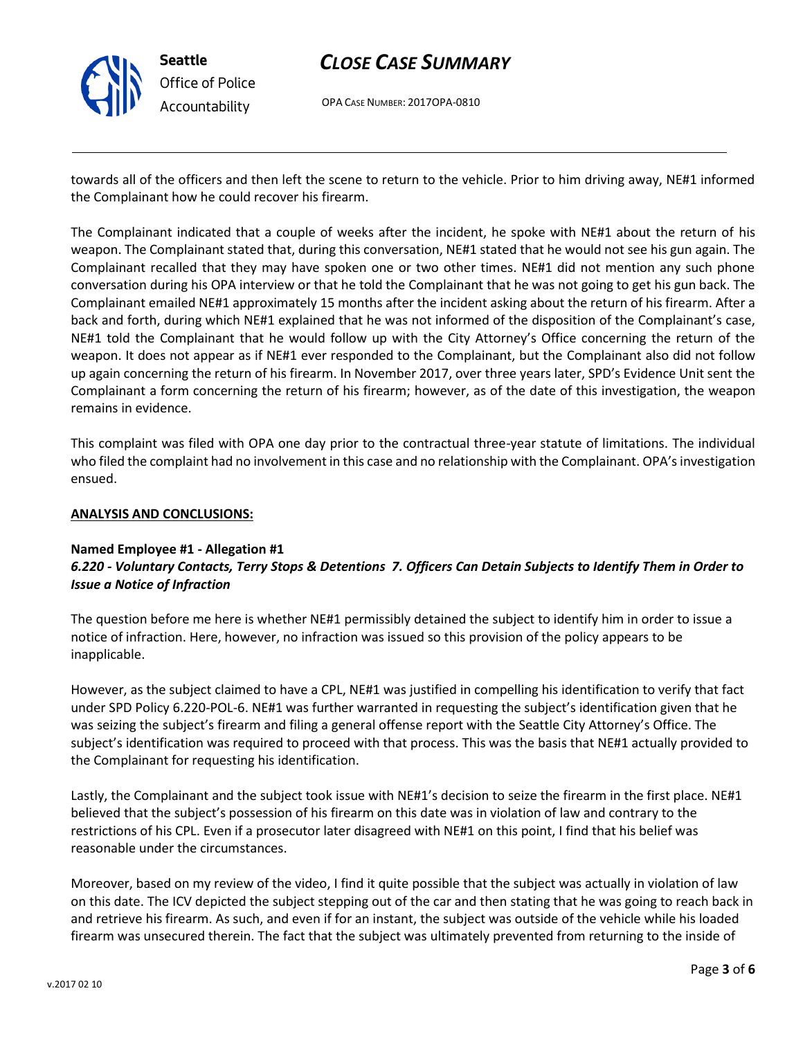

OPA CASE NUMBER: 2017OPA-0810

towards all of the officers and then left the scene to return to the vehicle. Prior to him driving away, NE#1 informed the Complainant how he could recover his firearm.

The Complainant indicated that a couple of weeks after the incident, he spoke with NE#1 about the return of his weapon. The Complainant stated that, during this conversation, NE#1 stated that he would not see his gun again. The Complainant recalled that they may have spoken one or two other times. NE#1 did not mention any such phone conversation during his OPA interview or that he told the Complainant that he was not going to get his gun back. The Complainant emailed NE#1 approximately 15 months after the incident asking about the return of his firearm. After a back and forth, during which NE#1 explained that he was not informed of the disposition of the Complainant's case, NE#1 told the Complainant that he would follow up with the City Attorney's Office concerning the return of the weapon. It does not appear as if NE#1 ever responded to the Complainant, but the Complainant also did not follow up again concerning the return of his firearm. In November 2017, over three years later, SPD's Evidence Unit sent the Complainant a form concerning the return of his firearm; however, as of the date of this investigation, the weapon remains in evidence.

This complaint was filed with OPA one day prior to the contractual three-year statute of limitations. The individual who filed the complaint had no involvement in this case and no relationship with the Complainant. OPA's investigation ensued.

### **ANALYSIS AND CONCLUSIONS:**

### **Named Employee #1 - Allegation #1** *6.220 - Voluntary Contacts, Terry Stops & Detentions 7. Officers Can Detain Subjects to Identify Them in Order to Issue a Notice of Infraction*

The question before me here is whether NE#1 permissibly detained the subject to identify him in order to issue a notice of infraction. Here, however, no infraction was issued so this provision of the policy appears to be inapplicable.

However, as the subject claimed to have a CPL, NE#1 was justified in compelling his identification to verify that fact under SPD Policy 6.220-POL-6. NE#1 was further warranted in requesting the subject's identification given that he was seizing the subject's firearm and filing a general offense report with the Seattle City Attorney's Office. The subject's identification was required to proceed with that process. This was the basis that NE#1 actually provided to the Complainant for requesting his identification.

Lastly, the Complainant and the subject took issue with NE#1's decision to seize the firearm in the first place. NE#1 believed that the subject's possession of his firearm on this date was in violation of law and contrary to the restrictions of his CPL. Even if a prosecutor later disagreed with NE#1 on this point, I find that his belief was reasonable under the circumstances.

Moreover, based on my review of the video, I find it quite possible that the subject was actually in violation of law on this date. The ICV depicted the subject stepping out of the car and then stating that he was going to reach back in and retrieve his firearm. As such, and even if for an instant, the subject was outside of the vehicle while his loaded firearm was unsecured therein. The fact that the subject was ultimately prevented from returning to the inside of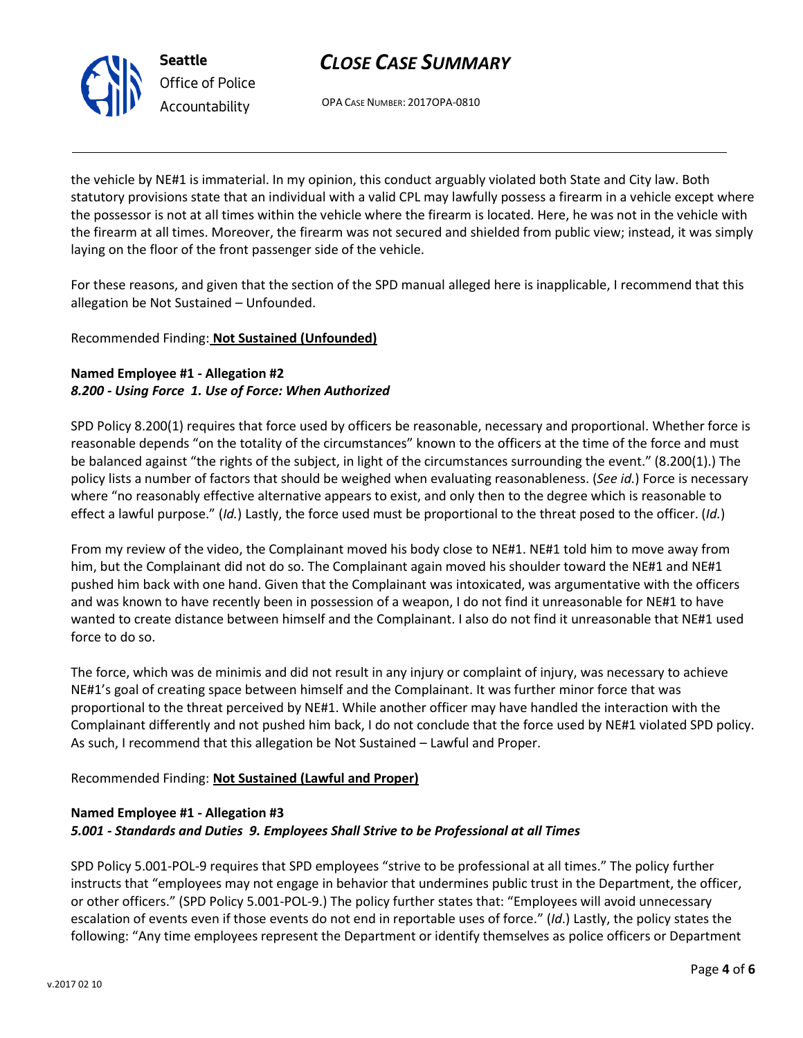

OPA CASE NUMBER: 2017OPA-0810

the vehicle by NE#1 is immaterial. In my opinion, this conduct arguably violated both State and City law. Both statutory provisions state that an individual with a valid CPL may lawfully possess a firearm in a vehicle except where the possessor is not at all times within the vehicle where the firearm is located. Here, he was not in the vehicle with the firearm at all times. Moreover, the firearm was not secured and shielded from public view; instead, it was simply laying on the floor of the front passenger side of the vehicle.

For these reasons, and given that the section of the SPD manual alleged here is inapplicable, I recommend that this allegation be Not Sustained – Unfounded.

# Recommended Finding: **Not Sustained (Unfounded)**

# **Named Employee #1 - Allegation #2** *8.200 - Using Force 1. Use of Force: When Authorized*

SPD Policy 8.200(1) requires that force used by officers be reasonable, necessary and proportional. Whether force is reasonable depends "on the totality of the circumstances" known to the officers at the time of the force and must be balanced against "the rights of the subject, in light of the circumstances surrounding the event." (8.200(1).) The policy lists a number of factors that should be weighed when evaluating reasonableness. (*See id.*) Force is necessary where "no reasonably effective alternative appears to exist, and only then to the degree which is reasonable to effect a lawful purpose." (*Id.*) Lastly, the force used must be proportional to the threat posed to the officer. (*Id.*)

From my review of the video, the Complainant moved his body close to NE#1. NE#1 told him to move away from him, but the Complainant did not do so. The Complainant again moved his shoulder toward the NE#1 and NE#1 pushed him back with one hand. Given that the Complainant was intoxicated, was argumentative with the officers and was known to have recently been in possession of a weapon, I do not find it unreasonable for NE#1 to have wanted to create distance between himself and the Complainant. I also do not find it unreasonable that NE#1 used force to do so.

The force, which was de minimis and did not result in any injury or complaint of injury, was necessary to achieve NE#1's goal of creating space between himself and the Complainant. It was further minor force that was proportional to the threat perceived by NE#1. While another officer may have handled the interaction with the Complainant differently and not pushed him back, I do not conclude that the force used by NE#1 violated SPD policy. As such, I recommend that this allegation be Not Sustained – Lawful and Proper.

# Recommended Finding: **Not Sustained (Lawful and Proper)**

# **Named Employee #1 - Allegation #3**

# *5.001 - Standards and Duties 9. Employees Shall Strive to be Professional at all Times*

SPD Policy 5.001-POL-9 requires that SPD employees "strive to be professional at all times." The policy further instructs that "employees may not engage in behavior that undermines public trust in the Department, the officer, or other officers." (SPD Policy 5.001-POL-9.) The policy further states that: "Employees will avoid unnecessary escalation of events even if those events do not end in reportable uses of force." (*Id*.) Lastly, the policy states the following: "Any time employees represent the Department or identify themselves as police officers or Department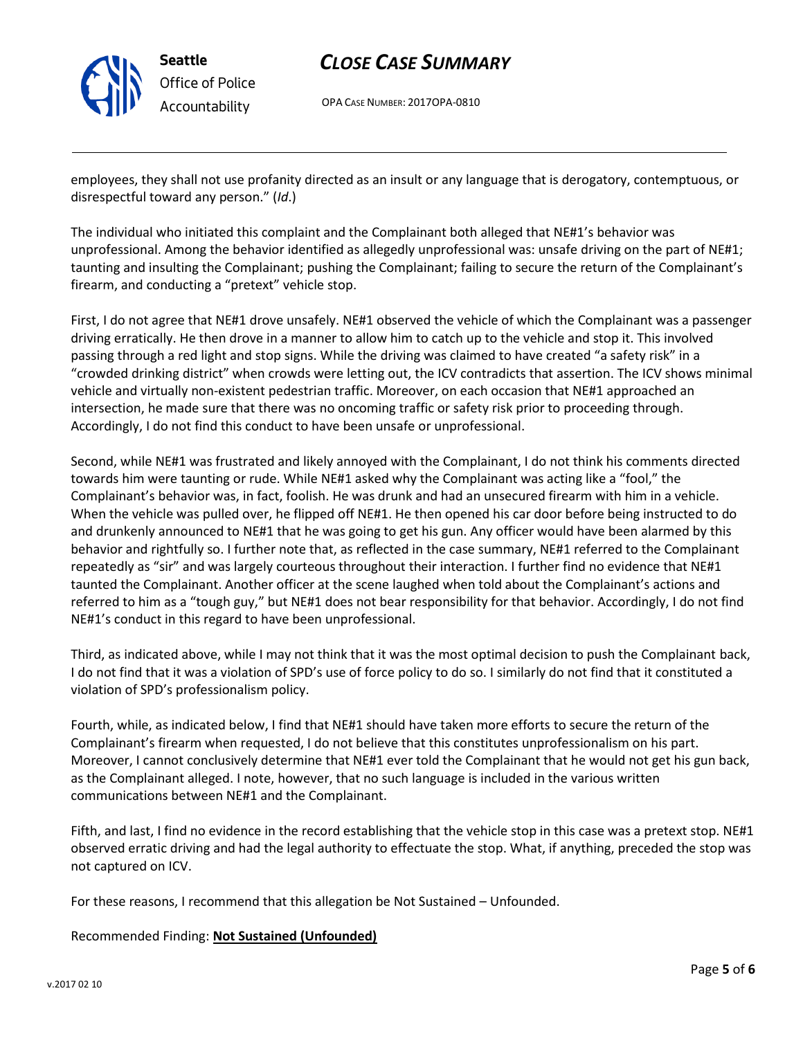

OPA CASE NUMBER: 2017OPA-0810

employees, they shall not use profanity directed as an insult or any language that is derogatory, contemptuous, or disrespectful toward any person." (*Id*.)

The individual who initiated this complaint and the Complainant both alleged that NE#1's behavior was unprofessional. Among the behavior identified as allegedly unprofessional was: unsafe driving on the part of NE#1; taunting and insulting the Complainant; pushing the Complainant; failing to secure the return of the Complainant's firearm, and conducting a "pretext" vehicle stop.

First, I do not agree that NE#1 drove unsafely. NE#1 observed the vehicle of which the Complainant was a passenger driving erratically. He then drove in a manner to allow him to catch up to the vehicle and stop it. This involved passing through a red light and stop signs. While the driving was claimed to have created "a safety risk" in a "crowded drinking district" when crowds were letting out, the ICV contradicts that assertion. The ICV shows minimal vehicle and virtually non-existent pedestrian traffic. Moreover, on each occasion that NE#1 approached an intersection, he made sure that there was no oncoming traffic or safety risk prior to proceeding through. Accordingly, I do not find this conduct to have been unsafe or unprofessional.

Second, while NE#1 was frustrated and likely annoyed with the Complainant, I do not think his comments directed towards him were taunting or rude. While NE#1 asked why the Complainant was acting like a "fool," the Complainant's behavior was, in fact, foolish. He was drunk and had an unsecured firearm with him in a vehicle. When the vehicle was pulled over, he flipped off NE#1. He then opened his car door before being instructed to do and drunkenly announced to NE#1 that he was going to get his gun. Any officer would have been alarmed by this behavior and rightfully so. I further note that, as reflected in the case summary, NE#1 referred to the Complainant repeatedly as "sir" and was largely courteous throughout their interaction. I further find no evidence that NE#1 taunted the Complainant. Another officer at the scene laughed when told about the Complainant's actions and referred to him as a "tough guy," but NE#1 does not bear responsibility for that behavior. Accordingly, I do not find NE#1's conduct in this regard to have been unprofessional.

Third, as indicated above, while I may not think that it was the most optimal decision to push the Complainant back, I do not find that it was a violation of SPD's use of force policy to do so. I similarly do not find that it constituted a violation of SPD's professionalism policy.

Fourth, while, as indicated below, I find that NE#1 should have taken more efforts to secure the return of the Complainant's firearm when requested, I do not believe that this constitutes unprofessionalism on his part. Moreover, I cannot conclusively determine that NE#1 ever told the Complainant that he would not get his gun back, as the Complainant alleged. I note, however, that no such language is included in the various written communications between NE#1 and the Complainant.

Fifth, and last, I find no evidence in the record establishing that the vehicle stop in this case was a pretext stop. NE#1 observed erratic driving and had the legal authority to effectuate the stop. What, if anything, preceded the stop was not captured on ICV.

For these reasons, I recommend that this allegation be Not Sustained – Unfounded.

# Recommended Finding: **Not Sustained (Unfounded)**